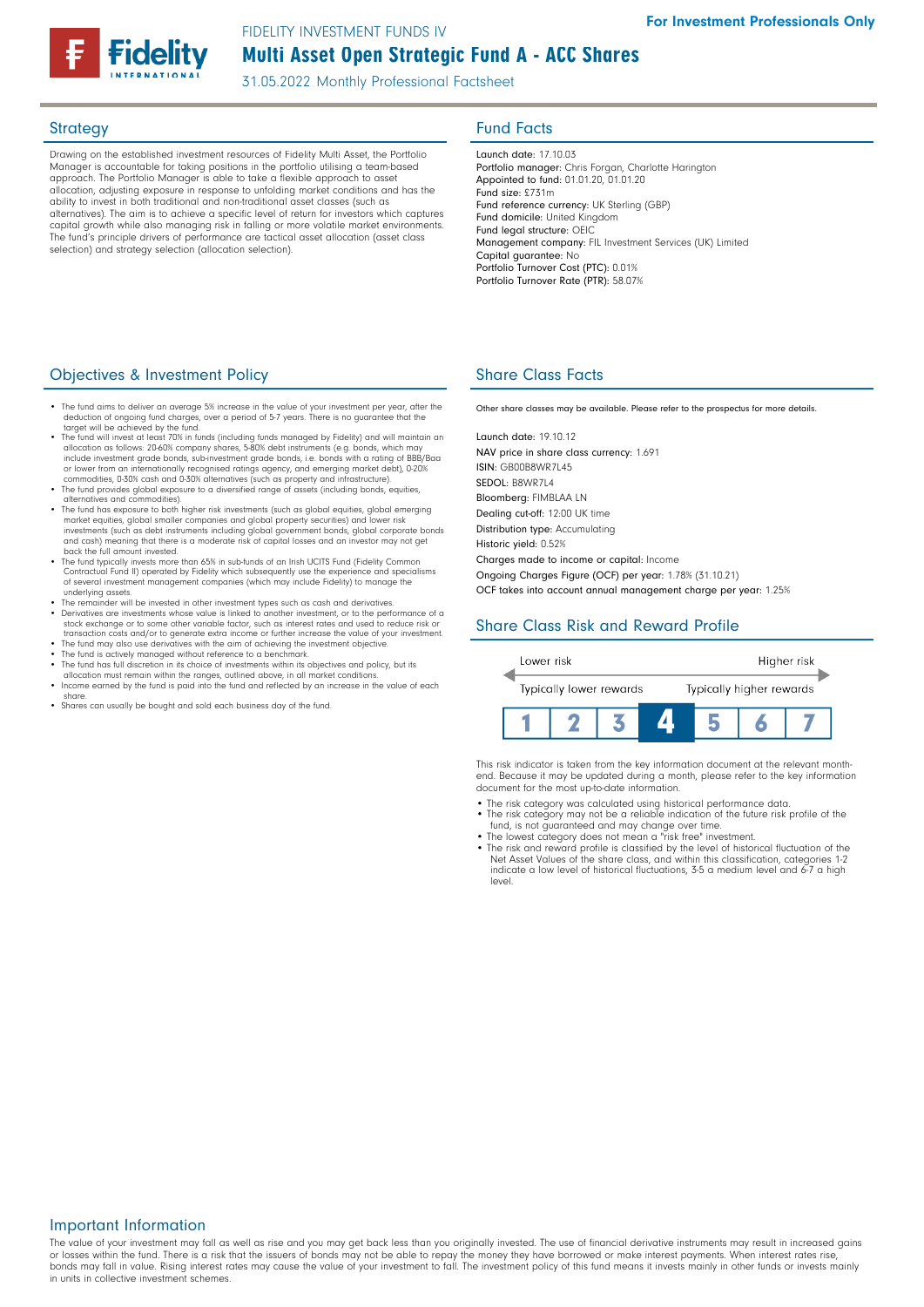## Multi Asset Open Strategic Fund A - ACC Shares FIDELITY INVESTMENT FUNDS IV

31.05.2022 Monthly Professional Factsheet

Drawing on the established investment resources of Fidelity Multi Asset, the Portfolio Manager is accountable for taking positions in the portfolio utilising a team-based approach. The Portfolio Manager is able to take a flexible approach to asset allocation, adjusting exposure in response to unfolding market conditions and has the ability to invest in both traditional and non-traditional asset classes (such as alternatives). The aim is to achieve a specific level of return for investors which captures capital growth while also managing risk in falling or more volatile market environments. The fund's principle drivers of performance are tactical asset allocation (asset class selection) and strategy selection (allocation selection).

## Strategy **Fund Facts**

Launch date: 17.10.03 Portfolio manager: Chris Forgan, Charlotte Harington Appointed to fund: 01.01.20, 01.01.20 Fund size: £731m Fund reference currency: UK Sterling (GBP) Fund domicile: United Kingdom Fund legal structure: OEIC Management company: FIL Investment Services (UK) Limited Capital guarantee: No Portfolio Turnover Cost (PTC): 0.01% Portfolio Turnover Rate (PTR): 58.07%

#### **Objectives & Investment Policy Share Class Facts** Share Class Facts

- The fund aims to deliver an average 5% increase in the value of your investment per year, after the deduction of ongoing fund charges, over a period of 5-7 years. There is no guarantee that the target will be achieved by the fund.
- The fund will invest at least 70% in funds (including funds managed by Fidelity) and will maintain an •<br>allocation as follows: 20-60% company shares, 5-80% debt instruments (e.g. bonds, which may<br>include investment grade
- or lower from an internationally recognised ratings agency, and emerging market debt), 0-20%<br>commodities, 0-30% cash and 0-30% alternatives (such as property and infrastructure).<br>• The fund provides global exposure to a di
- alternatives and commodities). The fund has exposure to both higher risk investments (such as global equities, global emerging market equities, global smaller companies and global property securities) and lower risk<br>investments (such as debt instruments including global government bonds, global corporate bonds<br>and cash) meaning that there is a mod back the full amount invested.
- The fund typically invests more than 65% in sub-funds of an Irish UCITS Fund (Fidelity Common Contractual Fund II) operated by Fidelity which subsequently use the experience and specialisms of several investment management companies (which may include Fidelity) to manage the underlying assets.
- The remainder will be invested in other investment types such as cash and derivatives.<br>• Derivatives are investments whose value is linked to another investment, or to the performance of a<br>stock exchange or to some other
- transaction costs and/or to generate extra income or further increase the value of your investment.<br>• The fund may also use derivatives with the aim of achieving the investment objective.<br>• The fund is actively managed wi
- 
- The fund has full discretion in its choice of investments within its objectives and policy, but its<br>| allocation must remain within the ranges, outlined above, in all market conditions.<br>| Income earned by the fund is paid
- share. Shares can usually be bought and sold each business day of the fund.
- 

Other share classes may be available. Please refer to the prospectus for more details.

Launch date: 19.10.12 NAV price in share class currency: 1.691 ISIN: GB00B8WR7L45 SEDOL: B8WR7L4 Bloomberg: FIMBLAA LN Dealing cut-off: 12:00 UK time Distribution type: Accumulating Historic yield: 0.52% Charges made to income or capital: Income Ongoing Charges Figure (OCF) per year: 1.78% (31.10.21) OCF takes into account annual management charge per year: 1.25%

## Share Class Risk and Reward Profile



This risk indicator is taken from the key information document at the relevant monthend. Because it may be updated during a month, please refer to the key information document for the most up-to-date information.

- The risk category was calculated using historical performance data.
- The risk category may not be a reliable indication of the future risk profile of the fund, is not guaranteed and may change over time. • The lowest category does not mean a "risk free" investment.
- The risk and reward profile is classified by the level of historical fluctuation of the Net Asset Values of the share class, and within this classification, categories 1-2 indicate a low level of historical fluctuations, 3-5 a medium level and 6-7 a high level.

#### Important Information

The value of your investment may fall as well as rise and you may get back less than you originally invested. The use of financial derivative instruments may result in increased gains or losses within the fund. There is a risk that the issuers of bonds may not be able to repay the money they have borrowed or make interest payments. When interest rates rise, bonds may fall in value. Rising interest rates may cause the value of your investment to fall. The investment policy of this fund means it invests mainly in other funds or invests mainly in units in collective investment schemes.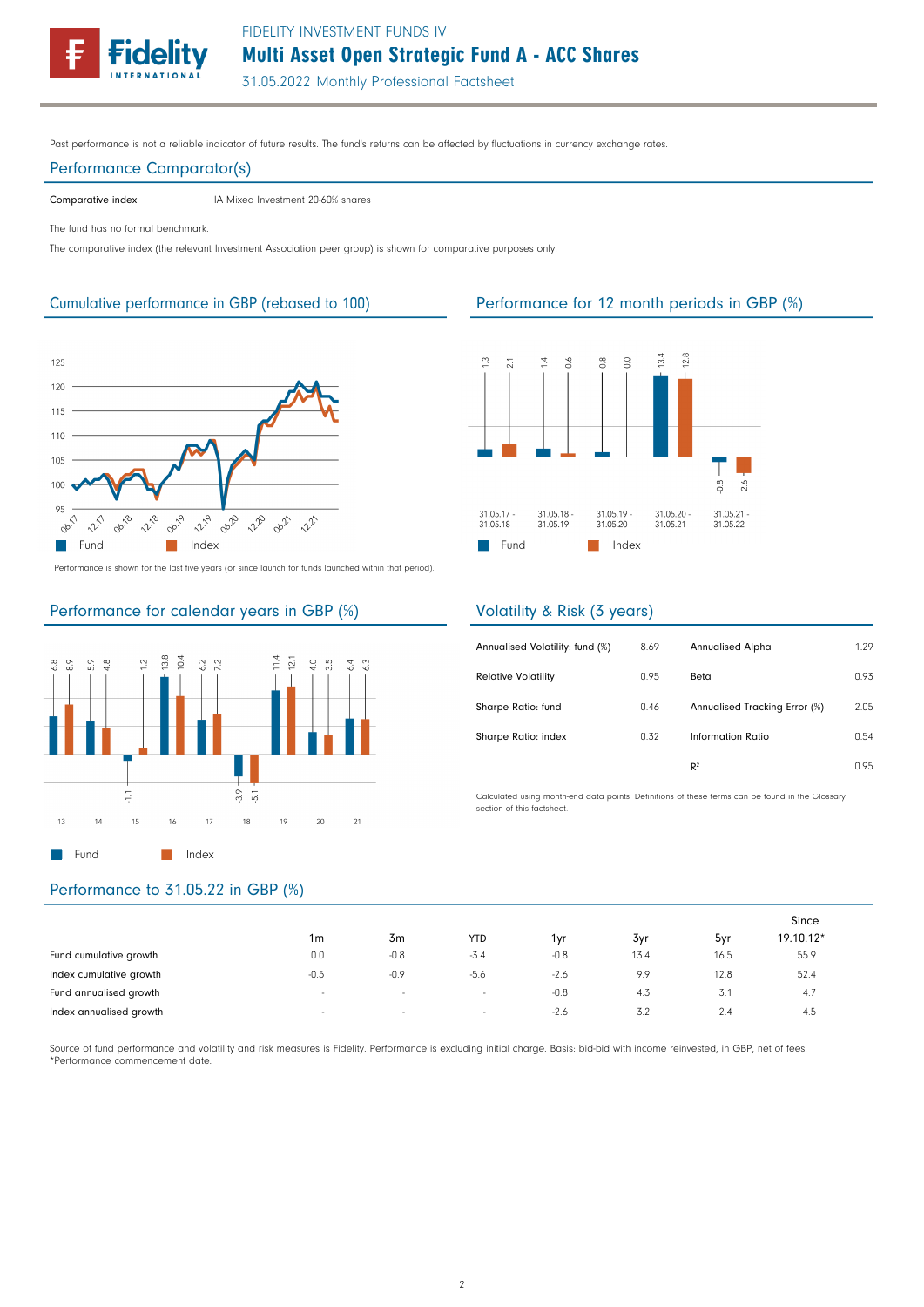FIDELITY INVESTMENT FUNDS IV

Multi Asset Open Strategic Fund A - ACC Shares

31.05.2022 Monthly Professional Factsheet

Past performance is not a reliable indicator of future results. The fund's returns can be affected by fluctuations in currency exchange rates.

#### Performance Comparator(s)

Comparative index IA Mixed Investment 20-60% shares

The fund has no formal benchmark.

The comparative index (the relevant Investment Association peer group) is shown for comparative purposes only.

## Cumulative performance in GBP (rebased to 100) Performance for 12 month periods in GBP (%)





Performance is shown for the last five years (or since launch for funds launched within that period).

#### Performance for calendar years in GBP (%)



### Volatility & Risk (3 years)

| Annualised Volatility: fund (%) | 8.69 | <b>Annualised Alpha</b>       | 1.29 |
|---------------------------------|------|-------------------------------|------|
| <b>Relative Volatility</b>      | 0.95 | Beta                          | 0.93 |
| Sharpe Ratio: fund              | 0.46 | Annualised Tracking Error (%) | 2.05 |
| Sharpe Ratio: index             | 0.32 | Information Ratio             | 0.54 |
|                                 |      | R <sup>2</sup>                | 0.95 |

Calculated using month-end data points. Definitions of these terms can be found in the Glossary section of this factsheet.

## Performance to 31.05.22 in GBP (%)

|                         |                          |        |            |        |      |      | Since     |
|-------------------------|--------------------------|--------|------------|--------|------|------|-----------|
|                         | 1m                       | 3m     | <b>YTD</b> | 1vr    | 3yr  | 5yr  | 19.10.12* |
| Fund cumulative growth  | 0.0                      | $-0.8$ | $-3.4$     | $-0.8$ | 13.4 | 16.5 | 55.9      |
| Index cumulative growth | $-0.5$                   | $-0.9$ | $-5.6$     | $-2.6$ | 9.9  | 12.8 | 52.4      |
| Fund annualised growth  | $\sim$                   | $\sim$ | $-$        | $-0.8$ | 4.3  | 3.1  | 4.7       |
| Index annualised growth | $\overline{\phantom{a}}$ | $\sim$ | $\sim$     | $-2.6$ | 3.2  | 2.4  | 4.5       |

Source of fund performance and volatility and risk measures is Fidelity. Performance is excluding initial charge. Basis: bid-bid with income reinvested, in GBP, net of fees. \*Performance commencement date.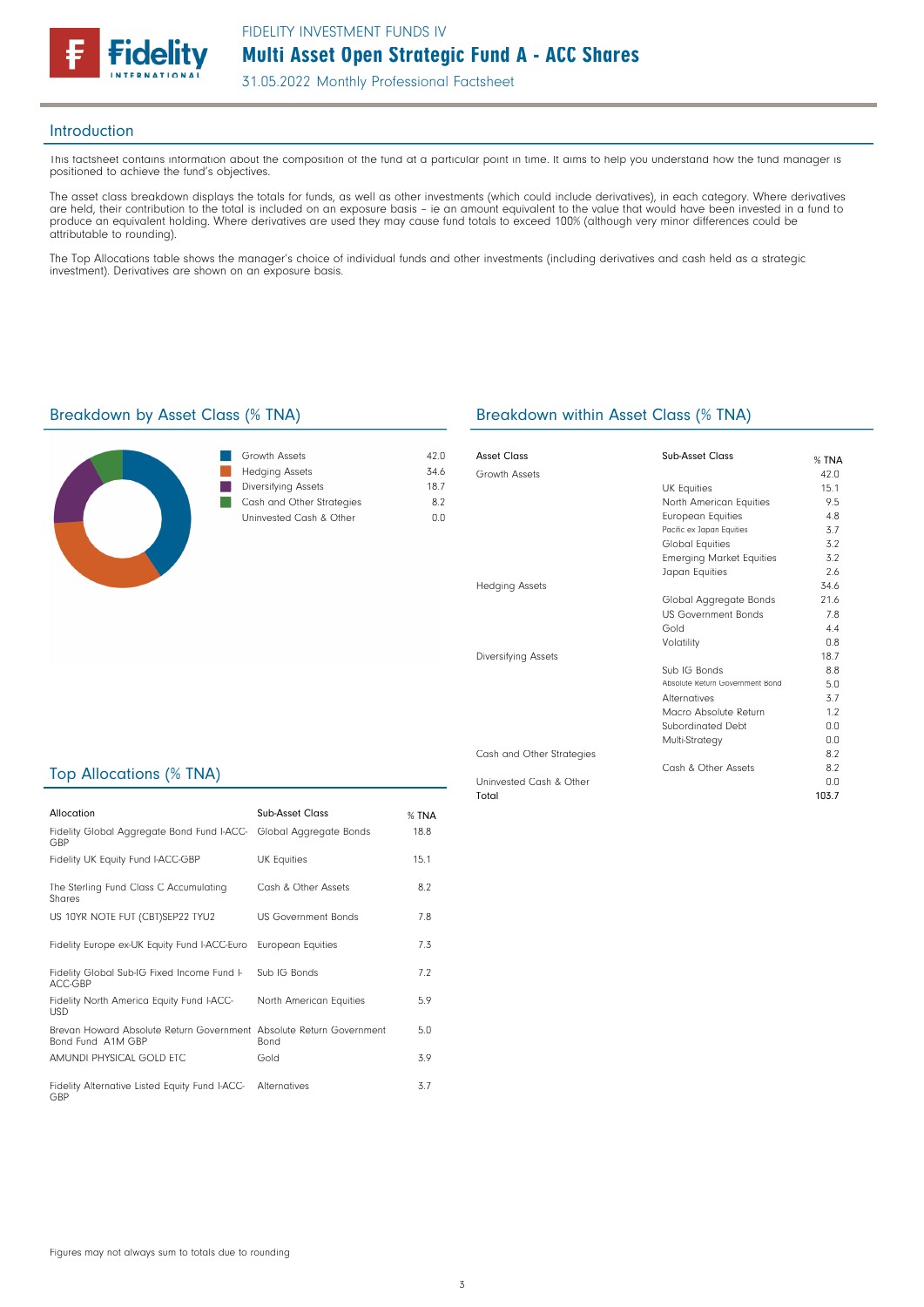

31.05.2022 Monthly Professional Factsheet

#### Introduction

This factsheet contains information about the composition of the fund at a particular point in time. It aims to help you understand how the fund manager is positioned to achieve the fund's objectives.

The asset class breakdown displays the totals for funds, as well as other investments (which could include derivatives), in each category. Where derivatives are held, their contribution to the total is included on an exposure basis – ie an amount equivalent to the value that would have been invested in a fund to produce an equivalent holding. Where derivatives are used they may cause fund totals to exceed 100% (although very minor differences could be attributable to rounding).

The Top Allocations table shows the manager's choice of individual funds and other investments (including derivatives and cash held as a strategic investment). Derivatives are shown on an exposure basis.



| Growth Assets              | 42 N |
|----------------------------|------|
| <b>Hedging Assets</b>      | 346  |
| <b>Diversifying Assets</b> | 187  |
| Cash and Other Strategies  | 82   |
| Uninvested Cash & Other    |      |
|                            |      |

#### Breakdown by Asset Class (% TNA) Breakdown within Asset Class (% TNA)

| Asset Class               | Sub-Asset Class                 | % TNA |
|---------------------------|---------------------------------|-------|
| Growth Assets             |                                 | 42.0  |
|                           | <b>UK Equities</b>              | 15.1  |
|                           | North American Equities         | 9.5   |
|                           | <b>European Equities</b>        | 4.8   |
|                           | Pacific ex Japan Equities       | 3.7   |
|                           | Global Equities                 | 3.2   |
|                           | <b>Emerging Market Equities</b> | 3.2   |
|                           | Japan Equities                  | 2.6   |
| <b>Hedging Assets</b>     |                                 | 34.6  |
|                           | Global Aggregate Bonds          | 21.6  |
|                           | <b>US Government Bonds</b>      | 7.8   |
|                           | Gold                            | 4.4   |
|                           | Volatility                      | 0.8   |
| Diversifying Assets       |                                 | 18.7  |
|                           | Sub IG Bonds                    | 8.8   |
|                           | Absolute Return Government Bond | 5.0   |
|                           | <b>Alternatives</b>             | 3.7   |
|                           | Macro Absolute Return           | 1.2   |
|                           | Subordinated Debt               | 0.0   |
|                           | Multi-Strategy                  | 0.0   |
| Cash and Other Strategies |                                 | 8.2   |
|                           | Cash & Other Assets             | 8.2   |
| Uninvested Cash & Other   |                                 | 0.0   |
| Total                     |                                 | 103.7 |

### Top Allocations (% TNA)

| Allocation                                                                               | Sub-Asset Class            | % TNA |
|------------------------------------------------------------------------------------------|----------------------------|-------|
| Fidelity Global Aggregate Bond Fund I-ACC-<br>GBP                                        | Global Aggregate Bonds     | 18.8  |
| Fidelity UK Equity Fund I-ACC-GBP                                                        | UK Equities                | 15.1  |
| The Sterling Fund Class C Accumulating<br>Shares                                         | Cash & Other Assets        | 8.2   |
| US 10YR NOTE FUT (CBT)SEP22 TYU2                                                         | <b>US Government Bonds</b> | 78    |
| Fidelity Europe ex-UK Equity Fund I-ACC-Euro                                             | European Equities          | 7.3   |
| Fidelity Global Sub-IG Fixed Income Fund I-<br>ACC-GBP                                   | Sub IG Bonds               | 7.2   |
| Fidelity North America Equity Fund I-ACC-<br><b>USD</b>                                  | North American Equities    | 5.9   |
| Brevan Howard Absolute Return Government Absolute Return Government<br>Bond Fund A1M GBP | <b>Bond</b>                | 5.0   |
| AMUNDI PHYSICAL GOLD ETC                                                                 | Gold                       | 3.9   |
| Fidelity Alternative Listed Equity Fund I-ACC-<br>GBP                                    | Alternatives               | 3.7   |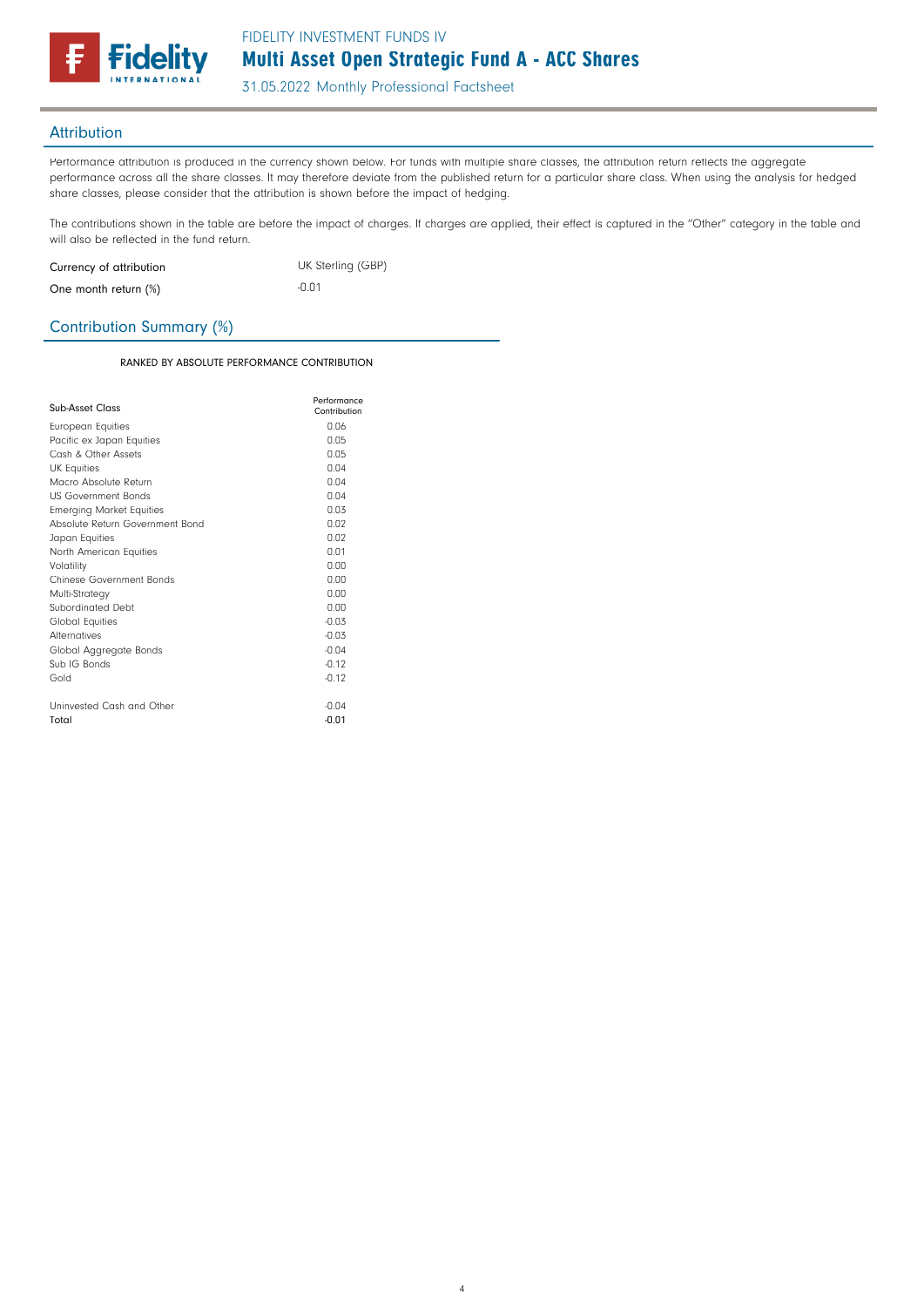

31.05.2022 Monthly Professional Factsheet

#### **Attribution**

Performance attribution is produced in the currency shown below. For funds with multiple share classes, the attribution return reflects the aggregate performance across all the share classes. It may therefore deviate from the published return for a particular share class. When using the analysis for hedged share classes, please consider that the attribution is shown before the impact of hedging.

The contributions shown in the table are before the impact of charges. If charges are applied, their effect is captured in the "Other" category in the table and will also be reflected in the fund return.

| Currency of attribution | UK Sterling (GBP) |
|-------------------------|-------------------|
| One month return $(\%)$ | $-0.01$           |

### Contribution Summary (%)

RANKED BY ABSOLUTE PERFORMANCE CONTRIBUTION

| Sub-Asset Class                 | Performance<br>Contribution |
|---------------------------------|-----------------------------|
| European Equities               | 0.06                        |
| Pacific ex Japan Equities       | 0.05                        |
| Cash & Other Assets             | 0.05                        |
| <b>UK Equities</b>              | 0.04                        |
| Macro Absolute Return           | 0.04                        |
| <b>US Government Bonds</b>      | 0.04                        |
| <b>Emerging Market Equities</b> | 0.03                        |
| Absolute Return Government Bond | 0.02                        |
| Japan Equities                  | 0.02                        |
| North American Equities         | 0.01                        |
| Volatility                      | 0.00                        |
| Chinese Government Bonds        | 0.00                        |
| Multi-Strategy                  | 0.00                        |
| Subordinated Debt               | 0.00                        |
| <b>Global Equities</b>          | $-0.03$                     |
| <b>Alternatives</b>             | $-0.03$                     |
| Global Aggregate Bonds          | $-0.04$                     |
| Sub IG Bonds                    | $-0.12$                     |
| Gold                            | $-0.12$                     |
| Uninvested Cash and Other       | $-0.04$                     |
| Total                           | $-0.01$                     |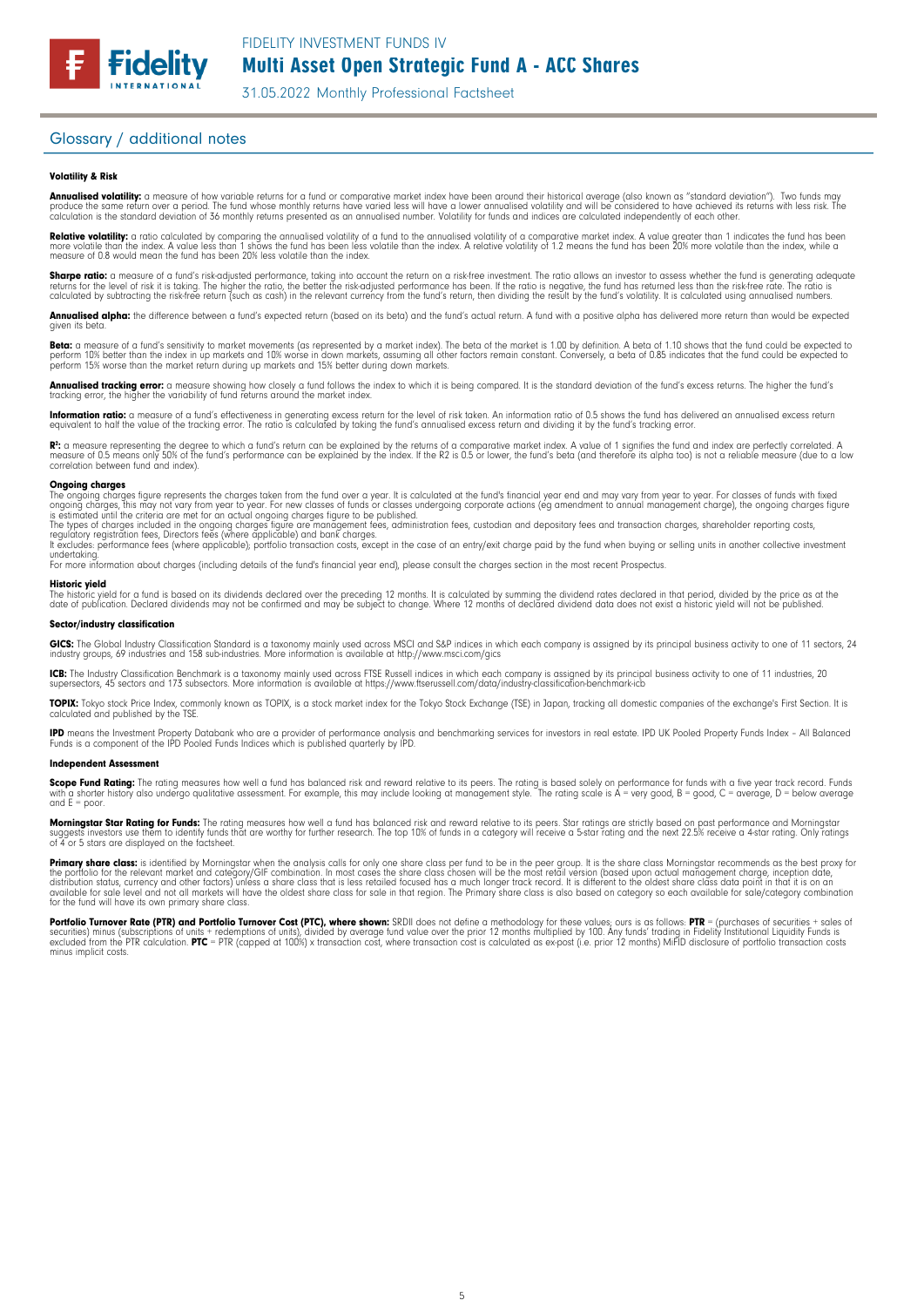# Multi Asset Open Strategic Fund A - ACC Shares

31.05.2022 Monthly Professional Factsheet

#### Glossary / additional notes

**Fidelity** 

#### Volatility & Risk

**Annualised volatility:** a measure of how variable returns for a fund or comparative market index have been around their historical average (also known as "standard deviation"). Two funds may<br>produce the same return over a calculation is the standard deviation of 36 monthly returns presented as an annualised number. Volatility for funds and indices are calculated independently of each other.

**Relative volatility:** a ratio calculated by comparing the annualised volatility of a fund to the annualised volatility of a comparative market index. A value greater than 1 indicates the fund has been<br>more volatile than t measure of 0.8 would mean the fund has been 20% less volatile than the index.

**Sharpe ratio:** a measure of a fund's risk-adjusted performance, taking into account the return on a risk-free investment. The ratio allows an investor to assess whether the fund is generating adequate the fund is generati

**Annualised alpha:** the difference between a fund's expected return (based on its beta) and the fund's actual return. A fund with a positive alpha has delivered more return than would be expected given its beto

**Beta:** a measure of a fund's sensitivity to market movements (as represented by a market index). The beta of the market is 1.00 by definition. A beta of 1.10 shows that the fund could be expected to<br>perform 10% better tha

**Annualised tracking error:** a measure showing how closely a fund follows the index to which it is being compared. It is the standard deviation of the fund's excess returns. The higher the fund's<br>tracking error, the higher

**Information ratio:** a measure of a fund's effectiveness in generating excess return for the level of risk taken. An information ratio of 0.5 shows the fund has delivered an annualised excess return<br>equivalent to half the

R": a measure representing the degree to which a fund's return can be explained by the returns of a comparative market index. A value of 1 signifies the fund and index are perfectly correlated. A<br>measure of 0.5 means only correlation between fund and index).

#### **Ongoing charges**<br>The ongoing charge

The ongoing charges figure represents the charges taken from the fund over a year. It is calculated at the fund's financial year end and may vary from year to year. For classes of funds with fixed<br>ongoing charges, this may

The types of charges included in the ongoing charges figure are management fees, administration fees, custodian and depositary fees and transaction charges, shareholder reporting costs,<br>regulatory registration fees, Direct

undertaking. For more information about charges (including details of the fund's financial year end), please consult the charges section in the most recent Prospectus.

#### Historic yield

The historic yield for a fund is based on its dividends declared over the preceding 12 months. It is calculated by summing the dividend rates declared in that period, divided by the price as at the<br>date of publication. Dec

#### Sector/industry classification

**GICS:** The Global Industry Classification Standard is a taxonomy mainly used across MSCI and S&P indices in which each company is assigned by its principal business activity to one of 11 sectors, 24<br>industry groups, 69 in

**ICB:** The Industry Classification Benchmark is a taxonomy mainly used across FTSE Russell indices in which each company is assigned by its principal business activity to one of 11 industries, 20<br>supersectors, 45 sectors a

**TOPIX:** Tokyo stock Price Index, commonly known as TOPIX, is a stock market index for the Tokyo Stock Exchange (TSE) in Japan, tracking all domestic companies of the exchange's First Section. It is<br>calculated and publishe

**IPD** means the Investment Property Databank who are a provider of performance analysis and benchmarking services for investors in real estate. IPD UK Pooled Property Funds Index - All Balanced<br>Funds is a component of the

#### Independent Assessment

**Scope Fund Rating:** The rating measures how well a fund has balanced risk and reward relative to its peers. The rating is based solely on performance for funds with a five year track record. Funds<br>with a shorter history a and  $F =$  poor.

**Morningstar Star Rating for Funds:** The rating measures how well a fund has balanced risk and reward relative to its peers. Star ratings are strictly based on past performance and Morningstar<br>suggests investors use them t

**Primary share class:** is identified by Morningstar when the analysis calls tor only one share class per fund to be in the peer group. It is the share class Morningstar recommends as the best proxy for<br>the portfolio for th

Portfolio Turnover Rate (PTR) and Portfolio Turnover Cost (PTC), where shown: SRDII does not define a methodology for these values; ours is as follows: PTR = (purchases of securities + sales of<br>securities) minus (subscript minus implicit costs.